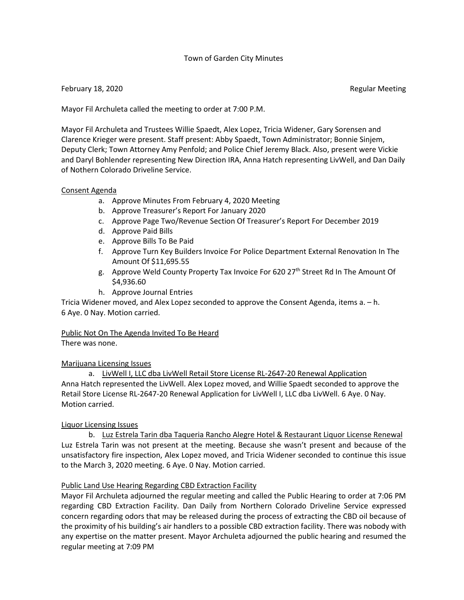## Town of Garden City Minutes

## February 18, 2020 **Regular Meeting**

Mayor Fil Archuleta called the meeting to order at 7:00 P.M.

Mayor Fil Archuleta and Trustees Willie Spaedt, Alex Lopez, Tricia Widener, Gary Sorensen and Clarence Krieger were present. Staff present: Abby Spaedt, Town Administrator; Bonnie Sinjem, Deputy Clerk; Town Attorney Amy Penfold; and Police Chief Jeremy Black. Also, present were Vickie and Daryl Bohlender representing New Direction IRA, Anna Hatch representing LivWell, and Dan Daily of Nothern Colorado Driveline Service.

#### Consent Agenda

- a. Approve Minutes From February 4, 2020 Meeting
- b. Approve Treasurer's Report For January 2020
- c. Approve Page Two/Revenue Section Of Treasurer's Report For December 2019
- d. Approve Paid Bills
- e. Approve Bills To Be Paid
- f. Approve Turn Key Builders Invoice For Police Department External Renovation In The Amount Of \$11,695.55
- g. Approve Weld County Property Tax Invoice For 620 27th Street Rd In The Amount Of \$4,936.60
- h. Approve Journal Entries

Tricia Widener moved, and Alex Lopez seconded to approve the Consent Agenda, items a. – h. 6 Aye. 0 Nay. Motion carried.

# Public Not On The Agenda Invited To Be Heard

There was none.

## Marijuana Licensing Issues

a. LivWell I, LLC dba LivWell Retail Store License RL-2647-20 Renewal Application Anna Hatch represented the LivWell. Alex Lopez moved, and Willie Spaedt seconded to approve the Retail Store License RL-2647-20 Renewal Application for LivWell I, LLC dba LivWell. 6 Aye. 0 Nay. Motion carried.

## Liquor Licensing Issues

b. Luz Estrela Tarin dba Taqueria Rancho Alegre Hotel & Restaurant Liquor License Renewal Luz Estrela Tarin was not present at the meeting. Because she wasn't present and because of the unsatisfactory fire inspection, Alex Lopez moved, and Tricia Widener seconded to continue this issue to the March 3, 2020 meeting. 6 Aye. 0 Nay. Motion carried.

## Public Land Use Hearing Regarding CBD Extraction Facility

Mayor Fil Archuleta adjourned the regular meeting and called the Public Hearing to order at 7:06 PM regarding CBD Extraction Facility. Dan Daily from Northern Colorado Driveline Service expressed concern regarding odors that may be released during the process of extracting the CBD oil because of the proximity of his building's air handlers to a possible CBD extraction facility. There was nobody with any expertise on the matter present. Mayor Archuleta adjourned the public hearing and resumed the regular meeting at 7:09 PM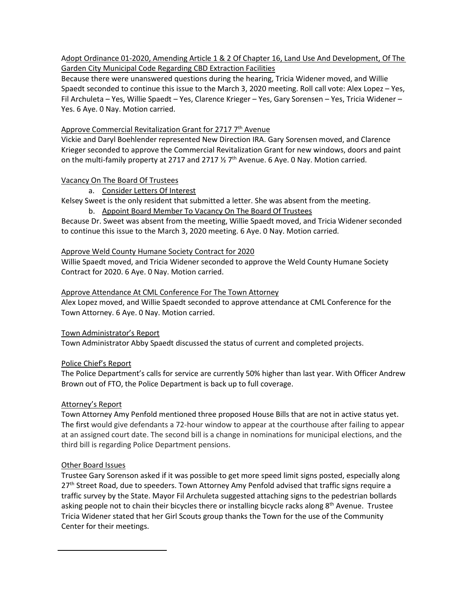Adopt Ordinance 01-2020, Amending Article 1 & 2 Of Chapter 16, Land Use And Development, Of The Garden City Municipal Code Regarding CBD Extraction Facilities

Because there were unanswered questions during the hearing, Tricia Widener moved, and Willie Spaedt seconded to continue this issue to the March 3, 2020 meeting. Roll call vote: Alex Lopez – Yes, Fil Archuleta – Yes, Willie Spaedt – Yes, Clarence Krieger – Yes, Gary Sorensen – Yes, Tricia Widener – Yes. 6 Aye. 0 Nay. Motion carried.

## Approve Commercial Revitalization Grant for 2717  $7<sup>th</sup>$  Avenue

Vickie and Daryl Boehlender represented New Direction IRA. Gary Sorensen moved, and Clarence Krieger seconded to approve the Commercial Revitalization Grant for new windows, doors and paint on the multi-family property at 2717 and 2717  $\frac{1}{2}$  7<sup>th</sup> Avenue. 6 Aye. 0 Nay. Motion carried.

## Vacancy On The Board Of Trustees

## a. Consider Letters Of Interest

Kelsey Sweet is the only resident that submitted a letter. She was absent from the meeting.

b. Appoint Board Member To Vacancy On The Board Of Trustees

Because Dr. Sweet was absent from the meeting, Willie Spaedt moved, and Tricia Widener seconded to continue this issue to the March 3, 2020 meeting. 6 Aye. 0 Nay. Motion carried.

## Approve Weld County Humane Society Contract for 2020

Willie Spaedt moved, and Tricia Widener seconded to approve the Weld County Humane Society Contract for 2020. 6 Aye. 0 Nay. Motion carried.

## Approve Attendance At CML Conference For The Town Attorney

Alex Lopez moved, and Willie Spaedt seconded to approve attendance at CML Conference for the Town Attorney. 6 Aye. 0 Nay. Motion carried.

Town Administrator's Report

Town Administrator Abby Spaedt discussed the status of current and completed projects.

## Police Chief's Report

The Police Department's calls for service are currently 50% higher than last year. With Officer Andrew Brown out of FTO, the Police Department is back up to full coverage.

## Attorney's Report

Town Attorney Amy Penfold mentioned three proposed House Bills that are not in active status yet. The first would give defendants a 72-hour window to appear at the courthouse after failing to appear at an assigned court date. The second bill is a change in nominations for municipal elections, and the third bill is regarding Police Department pensions.

## Other Board Issues

Trustee Gary Sorenson asked if it was possible to get more speed limit signs posted, especially along 27<sup>th</sup> Street Road, due to speeders. Town Attorney Amy Penfold advised that traffic signs require a traffic survey by the State. Mayor Fil Archuleta suggested attaching signs to the pedestrian bollards asking people not to chain their bicycles there or installing bicycle racks along  $8<sup>th</sup>$  Avenue. Trustee Tricia Widener stated that her Girl Scouts group thanks the Town for the use of the Community Center for their meetings.